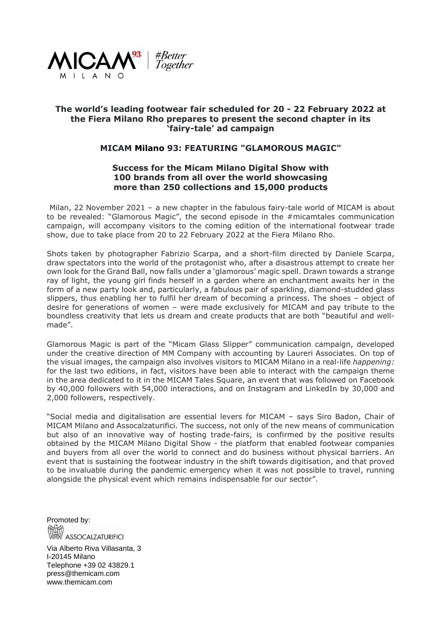

## **The world's leading footwear fair scheduled for 20 - 22 February 2022 at the Fiera Milano Rho prepares to present the second chapter in its 'fairy-tale' ad campaign**

## **MICAM Milano 93: FEATURING "GLAMOROUS MAGIC"**

## **Success for the Micam Milano Digital Show with 100 brands from all over the world showcasing more than 250 collections and 15,000 products**

Milan, 22 November 2021 – a new chapter in the fabulous fairy-tale world of MICAM is about to be revealed: "Glamorous Magic", the second episode in the #micamtales communication campaign, will accompany visitors to the coming edition of the international footwear trade show, due to take place from 20 to 22 February 2022 at the Fiera Milano Rho.

Shots taken by photographer Fabrizio Scarpa, and a short-film directed by Daniele Scarpa, draw spectators into the world of the protagonist who, after a disastrous attempt to create her own look for the Grand Ball, now falls under a 'glamorous' magic spell. Drawn towards a strange ray of light, the young girl finds herself in a garden where an enchantment awaits her in the form of a new party look and, particularly, a fabulous pair of sparkling, diamond-studded glass slippers, thus enabling her to fulfil her dream of becoming a princess. The shoes – object of desire for generations of women – were made exclusively for MICAM and pay tribute to the boundless creativity that lets us dream and create products that are both "beautiful and wellmade".

Glamorous Magic is part of the "Micam Glass Slipper" communication campaign, developed under the creative direction of MM Company with accounting by Laureri Associates. On top of the visual images, the campaign also involves visitors to MICAM Milano in a real-life *happening:* for the last two editions, in fact, visitors have been able to interact with the campaign theme in the area dedicated to it in the MICAM Tales Square, an event that was followed on Facebook by 40,000 followers with 54,000 interactions, and on Instagram and LinkedIn by 30,000 and 2,000 followers, respectively.

"Social media and digitalisation are essential levers for MICAM – says Siro Badon, Chair of MICAM Milano and Assocalzaturifici. The success, not only of the new means of communication but also of an innovative way of hosting trade-fairs, is confirmed by the positive results obtained by the MICAM Milano Digital Show - the platform that enabled footwear companies and buyers from all over the world to connect and do business without physical barriers. An event that is sustaining the footwear industry in the shift towards digitisation, and that proved to be invaluable during the pandemic emergency when it was not possible to travel, running alongside the physical event which remains indispensable for our sector".

Promoted by: ASSOCALZATURIFICI

Via Alberto Riva Villasanta, 3 I-20145 Milano Telephone +39 02 43829.1 press@themicam.com www.themicam.com